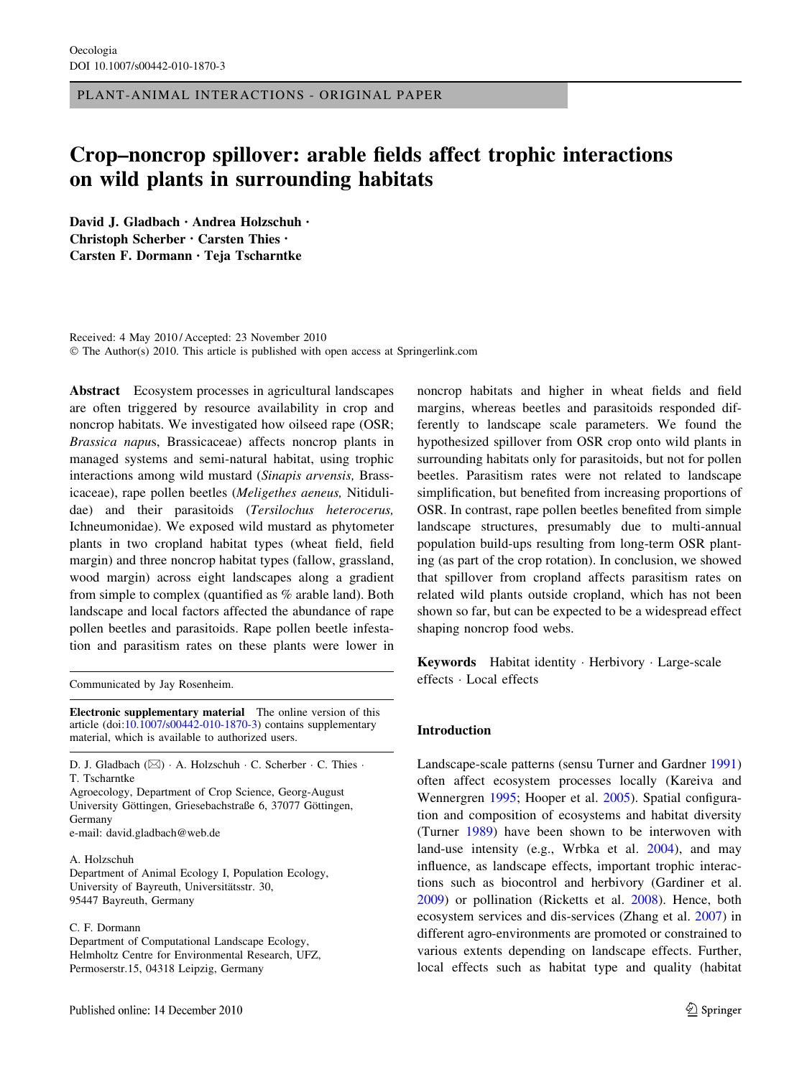PLANT-ANIMAL INTERACTIONS - ORIGINAL PAPER

# Crop–noncrop spillover: arable fields affect trophic interactions on wild plants in surrounding habitats

David J. Gladbach • Andrea Holzschuh • Christoph Scherber • Carsten Thies • Carsten F. Dormann • Teja Tscharntke

Received: 4 May 2010 / Accepted: 23 November 2010 © The Author(s) 2010. This article is published with open access at Springerlink.com

Abstract Ecosystem processes in agricultural landscapes are often triggered by resource availability in crop and noncrop habitats. We investigated how oilseed rape (OSR; Brassica napus, Brassicaceae) affects noncrop plants in managed systems and semi-natural habitat, using trophic interactions among wild mustard (Sinapis arvensis, Brassicaceae), rape pollen beetles (Meligethes aeneus, Nitidulidae) and their parasitoids (Tersilochus heterocerus, Ichneumonidae). We exposed wild mustard as phytometer plants in two cropland habitat types (wheat field, field margin) and three noncrop habitat types (fallow, grassland, wood margin) across eight landscapes along a gradient from simple to complex (quantified as % arable land). Both landscape and local factors affected the abundance of rape pollen beetles and parasitoids. Rape pollen beetle infestation and parasitism rates on these plants were lower in

Communicated by Jay Rosenheim.

Electronic supplementary material The online version of this article (doi:[10.1007/s00442-010-1870-3\)](http://dx.doi.org/10.1007/s00442-010-1870-3) contains supplementary material, which is available to authorized users.

D. J. Gladbach  $(\boxtimes) \cdot A$ . Holzschuh  $\cdot C$ . Scherber  $\cdot C$ . Thies  $\cdot$ T. Tscharntke

Agroecology, Department of Crop Science, Georg-August University Göttingen, Griesebachstraße 6, 37077 Göttingen, Germany e-mail: david.gladbach@web.de

#### A. Holzschuh

Department of Animal Ecology I, Population Ecology, University of Bayreuth, Universitätsstr. 30, 95447 Bayreuth, Germany

# C. F. Dormann

Department of Computational Landscape Ecology, Helmholtz Centre for Environmental Research, UFZ, Permoserstr.15, 04318 Leipzig, Germany

noncrop habitats and higher in wheat fields and field margins, whereas beetles and parasitoids responded differently to landscape scale parameters. We found the hypothesized spillover from OSR crop onto wild plants in surrounding habitats only for parasitoids, but not for pollen beetles. Parasitism rates were not related to landscape simplification, but benefited from increasing proportions of OSR. In contrast, rape pollen beetles benefited from simple landscape structures, presumably due to multi-annual population build-ups resulting from long-term OSR planting (as part of the crop rotation). In conclusion, we showed that spillover from cropland affects parasitism rates on related wild plants outside cropland, which has not been shown so far, but can be expected to be a widespread effect shaping noncrop food webs.

Keywords Habitat identity - Herbivory - Large-scale effects - Local effects

## Introduction

Landscape-scale patterns (sensu Turner and Gardner [1991\)](#page-8-0) often affect ecosystem processes locally (Kareiva and Wennergren [1995](#page-7-0); Hooper et al. [2005\)](#page-7-0). Spatial configuration and composition of ecosystems and habitat diversity (Turner [1989\)](#page-8-0) have been shown to be interwoven with land-use intensity (e.g., Wrbka et al. [2004\)](#page-8-0), and may influence, as landscape effects, important trophic interactions such as biocontrol and herbivory (Gardiner et al. [2009](#page-7-0)) or pollination (Ricketts et al. [2008](#page-7-0)). Hence, both ecosystem services and dis-services (Zhang et al. [2007\)](#page-8-0) in different agro-environments are promoted or constrained to various extents depending on landscape effects. Further, local effects such as habitat type and quality (habitat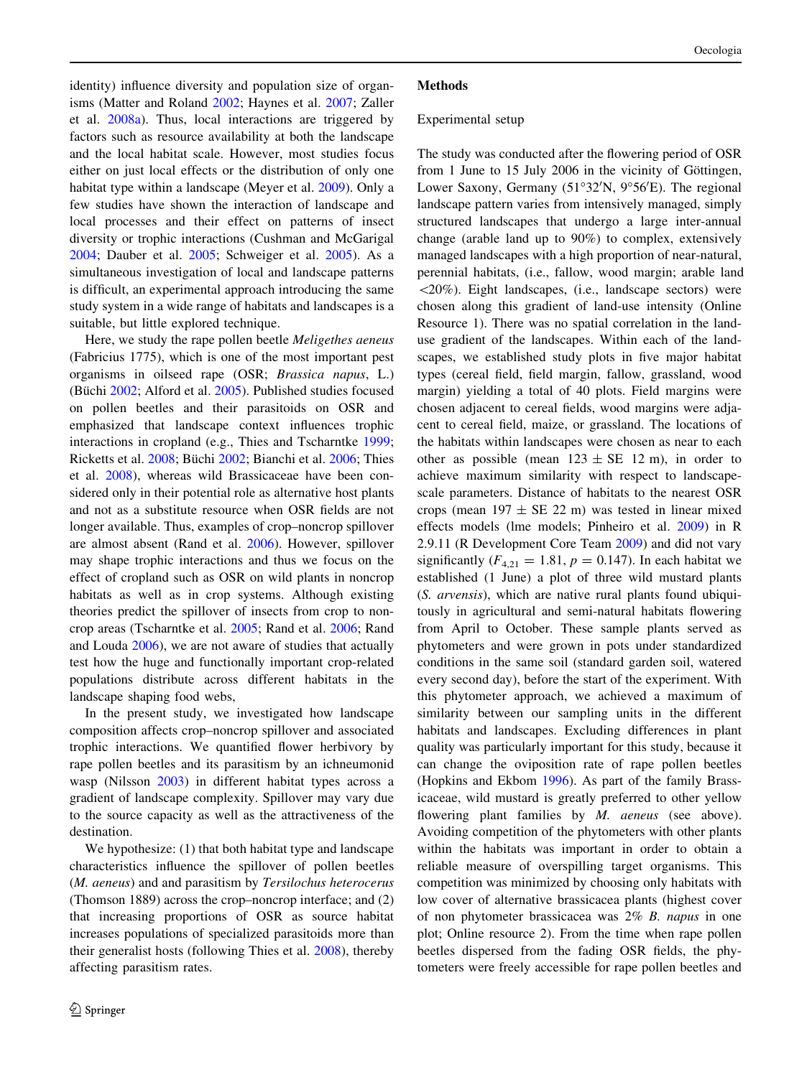identity) influence diversity and population size of organisms (Matter and Roland [2002;](#page-7-0) Haynes et al. [2007;](#page-7-0) Zaller et al. [2008a](#page-8-0)). Thus, local interactions are triggered by factors such as resource availability at both the landscape and the local habitat scale. However, most studies focus either on just local effects or the distribution of only one habitat type within a landscape (Meyer et al. [2009](#page-7-0)). Only a few studies have shown the interaction of landscape and local processes and their effect on patterns of insect diversity or trophic interactions (Cushman and McGarigal [2004;](#page-6-0) Dauber et al. [2005](#page-6-0); Schweiger et al. [2005\)](#page-7-0). As a simultaneous investigation of local and landscape patterns is difficult, an experimental approach introducing the same study system in a wide range of habitats and landscapes is a suitable, but little explored technique.

Here, we study the rape pollen beetle Meligethes aeneus (Fabricius 1775), which is one of the most important pest organisms in oilseed rape (OSR; Brassica napus, L.) (Büchi [2002;](#page-6-0) Alford et al. [2005](#page-6-0)). Published studies focused on pollen beetles and their parasitoids on OSR and emphasized that landscape context influences trophic interactions in cropland (e.g., Thies and Tscharntke [1999](#page-7-0); Ricketts et al. [2008;](#page-7-0) Büchi [2002](#page-6-0); Bianchi et al. [2006;](#page-6-0) Thies et al. [2008](#page-7-0)), whereas wild Brassicaceae have been considered only in their potential role as alternative host plants and not as a substitute resource when OSR fields are not longer available. Thus, examples of crop–noncrop spillover are almost absent (Rand et al. [2006](#page-7-0)). However, spillover may shape trophic interactions and thus we focus on the effect of cropland such as OSR on wild plants in noncrop habitats as well as in crop systems. Although existing theories predict the spillover of insects from crop to noncrop areas (Tscharntke et al. [2005](#page-8-0); Rand et al. [2006](#page-7-0); Rand and Louda [2006\)](#page-7-0), we are not aware of studies that actually test how the huge and functionally important crop-related populations distribute across different habitats in the landscape shaping food webs,

In the present study, we investigated how landscape composition affects crop–noncrop spillover and associated trophic interactions. We quantified flower herbivory by rape pollen beetles and its parasitism by an ichneumonid wasp (Nilsson [2003](#page-7-0)) in different habitat types across a gradient of landscape complexity. Spillover may vary due to the source capacity as well as the attractiveness of the destination.

We hypothesize: (1) that both habitat type and landscape characteristics influence the spillover of pollen beetles (M. aeneus) and and parasitism by Tersilochus heterocerus (Thomson 1889) across the crop–noncrop interface; and (2) that increasing proportions of OSR as source habitat increases populations of specialized parasitoids more than their generalist hosts (following Thies et al. [2008](#page-7-0)), thereby affecting parasitism rates.

#### **Methods**

#### Experimental setup

The study was conducted after the flowering period of OSR from 1 June to  $15$  July  $2006$  in the vicinity of Göttingen, Lower Saxony, Germany (51°32'N, 9°56'E). The regional landscape pattern varies from intensively managed, simply structured landscapes that undergo a large inter-annual change (arable land up to 90%) to complex, extensively managed landscapes with a high proportion of near-natural, perennial habitats, (i.e., fallow, wood margin; arable land \20%). Eight landscapes, (i.e., landscape sectors) were chosen along this gradient of land-use intensity (Online Resource 1). There was no spatial correlation in the landuse gradient of the landscapes. Within each of the landscapes, we established study plots in five major habitat types (cereal field, field margin, fallow, grassland, wood margin) yielding a total of 40 plots. Field margins were chosen adjacent to cereal fields, wood margins were adjacent to cereal field, maize, or grassland. The locations of the habitats within landscapes were chosen as near to each other as possible (mean  $123 \pm SE$  12 m), in order to achieve maximum similarity with respect to landscapescale parameters. Distance of habitats to the nearest OSR crops (mean  $197 \pm SE$  22 m) was tested in linear mixed effects models (lme models; Pinheiro et al. [2009\)](#page-7-0) in R 2.9.11 (R Development Core Team [2009\)](#page-7-0) and did not vary significantly  $(F_{4,21} = 1.81, p = 0.147)$ . In each habitat we established (1 June) a plot of three wild mustard plants (S. arvensis), which are native rural plants found ubiquitously in agricultural and semi-natural habitats flowering from April to October. These sample plants served as phytometers and were grown in pots under standardized conditions in the same soil (standard garden soil, watered every second day), before the start of the experiment. With this phytometer approach, we achieved a maximum of similarity between our sampling units in the different habitats and landscapes. Excluding differences in plant quality was particularly important for this study, because it can change the oviposition rate of rape pollen beetles (Hopkins and Ekbom [1996\)](#page-7-0). As part of the family Brassicaceae, wild mustard is greatly preferred to other yellow flowering plant families by *M. aeneus* (see above). Avoiding competition of the phytometers with other plants within the habitats was important in order to obtain a reliable measure of overspilling target organisms. This competition was minimized by choosing only habitats with low cover of alternative brassicacea plants (highest cover of non phytometer brassicacea was 2% B. napus in one plot; Online resource 2). From the time when rape pollen beetles dispersed from the fading OSR fields, the phytometers were freely accessible for rape pollen beetles and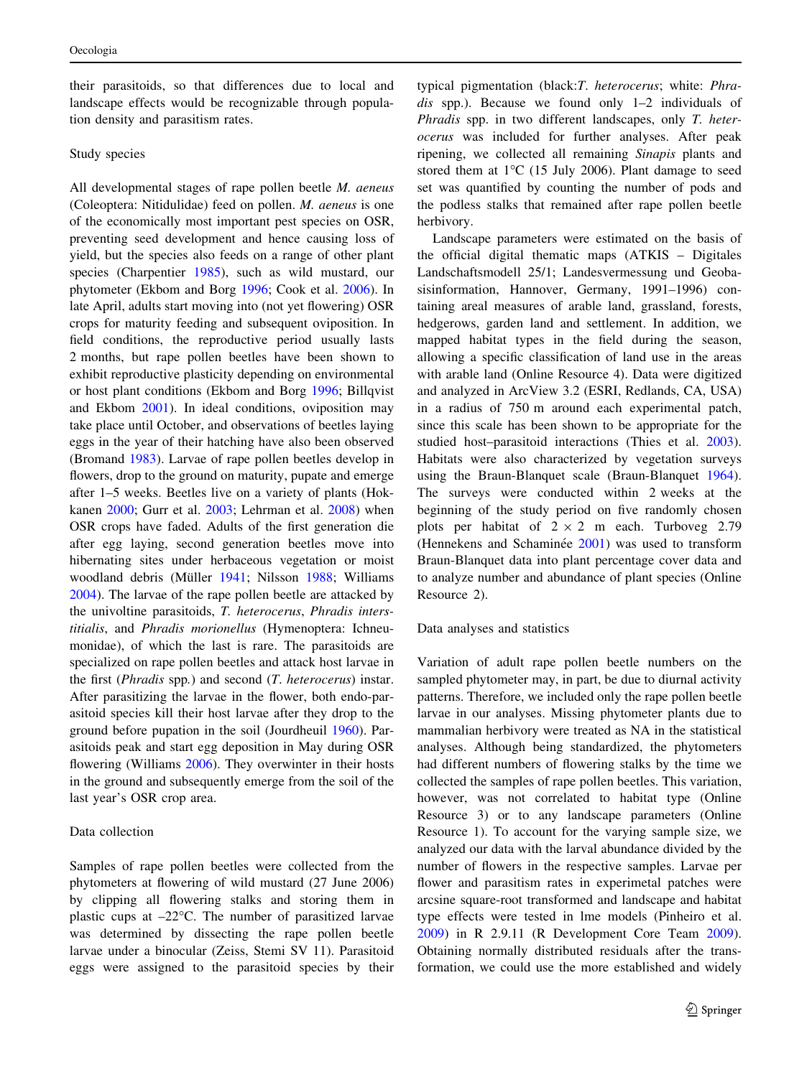their parasitoids, so that differences due to local and landscape effects would be recognizable through population density and parasitism rates.

# Study species

All developmental stages of rape pollen beetle M. aeneus (Coleoptera: Nitidulidae) feed on pollen. M. aeneus is one of the economically most important pest species on OSR, preventing seed development and hence causing loss of yield, but the species also feeds on a range of other plant species (Charpentier [1985](#page-6-0)), such as wild mustard, our phytometer (Ekbom and Borg [1996;](#page-7-0) Cook et al. [2006\)](#page-6-0). In late April, adults start moving into (not yet flowering) OSR crops for maturity feeding and subsequent oviposition. In field conditions, the reproductive period usually lasts 2 months, but rape pollen beetles have been shown to exhibit reproductive plasticity depending on environmental or host plant conditions (Ekbom and Borg [1996](#page-7-0); Billqvist and Ekbom [2001](#page-6-0)). In ideal conditions, oviposition may take place until October, and observations of beetles laying eggs in the year of their hatching have also been observed (Bromand [1983\)](#page-6-0). Larvae of rape pollen beetles develop in flowers, drop to the ground on maturity, pupate and emerge after 1–5 weeks. Beetles live on a variety of plants (Hokkanen [2000](#page-7-0); Gurr et al. [2003;](#page-7-0) Lehrman et al. [2008\)](#page-7-0) when OSR crops have faded. Adults of the first generation die after egg laying, second generation beetles move into hibernating sites under herbaceous vegetation or moist woodland debris (Müller [1941;](#page-7-0) Nilsson [1988](#page-7-0); Williams [2004\)](#page-8-0). The larvae of the rape pollen beetle are attacked by the univoltine parasitoids, T. heterocerus, Phradis interstitialis, and Phradis morionellus (Hymenoptera: Ichneumonidae), of which the last is rare. The parasitoids are specialized on rape pollen beetles and attack host larvae in the first (Phradis spp.) and second (T. heterocerus) instar. After parasitizing the larvae in the flower, both endo-parasitoid species kill their host larvae after they drop to the ground before pupation in the soil (Jourdheuil [1960](#page-7-0)). Parasitoids peak and start egg deposition in May during OSR flowering (Williams [2006](#page-8-0)). They overwinter in their hosts in the ground and subsequently emerge from the soil of the last year's OSR crop area.

# Data collection

Samples of rape pollen beetles were collected from the phytometers at flowering of wild mustard (27 June 2006) by clipping all flowering stalks and storing them in plastic cups at  $-22^{\circ}$ C. The number of parasitized larvae was determined by dissecting the rape pollen beetle larvae under a binocular (Zeiss, Stemi SV 11). Parasitoid eggs were assigned to the parasitoid species by their typical pigmentation (black:T. heterocerus; white: Phradis spp.). Because we found only 1–2 individuals of Phradis spp. in two different landscapes, only T. heterocerus was included for further analyses. After peak ripening, we collected all remaining Sinapis plants and stored them at  $1^{\circ}$ C (15 July 2006). Plant damage to seed set was quantified by counting the number of pods and the podless stalks that remained after rape pollen beetle herbivory.

Landscape parameters were estimated on the basis of the official digital thematic maps (ATKIS – Digitales Landschaftsmodell 25/1; Landesvermessung und Geobasisinformation, Hannover, Germany, 1991–1996) containing areal measures of arable land, grassland, forests, hedgerows, garden land and settlement. In addition, we mapped habitat types in the field during the season, allowing a specific classification of land use in the areas with arable land (Online Resource 4). Data were digitized and analyzed in ArcView 3.2 (ESRI, Redlands, CA, USA) in a radius of 750 m around each experimental patch, since this scale has been shown to be appropriate for the studied host–parasitoid interactions (Thies et al. [2003](#page-7-0)). Habitats were also characterized by vegetation surveys using the Braun-Blanquet scale (Braun-Blanquet [1964](#page-6-0)). The surveys were conducted within 2 weeks at the beginning of the study period on five randomly chosen plots per habitat of  $2 \times 2$  m each. Turboveg 2.79 (Hennekens and Schaminée  $2001$ ) was used to transform Braun-Blanquet data into plant percentage cover data and to analyze number and abundance of plant species (Online Resource 2).

## Data analyses and statistics

Variation of adult rape pollen beetle numbers on the sampled phytometer may, in part, be due to diurnal activity patterns. Therefore, we included only the rape pollen beetle larvae in our analyses. Missing phytometer plants due to mammalian herbivory were treated as NA in the statistical analyses. Although being standardized, the phytometers had different numbers of flowering stalks by the time we collected the samples of rape pollen beetles. This variation, however, was not correlated to habitat type (Online Resource 3) or to any landscape parameters (Online Resource 1). To account for the varying sample size, we analyzed our data with the larval abundance divided by the number of flowers in the respective samples. Larvae per flower and parasitism rates in experimetal patches were arcsine square-root transformed and landscape and habitat type effects were tested in lme models (Pinheiro et al. [2009](#page-7-0)) in R 2.9.11 (R Development Core Team [2009](#page-7-0)). Obtaining normally distributed residuals after the transformation, we could use the more established and widely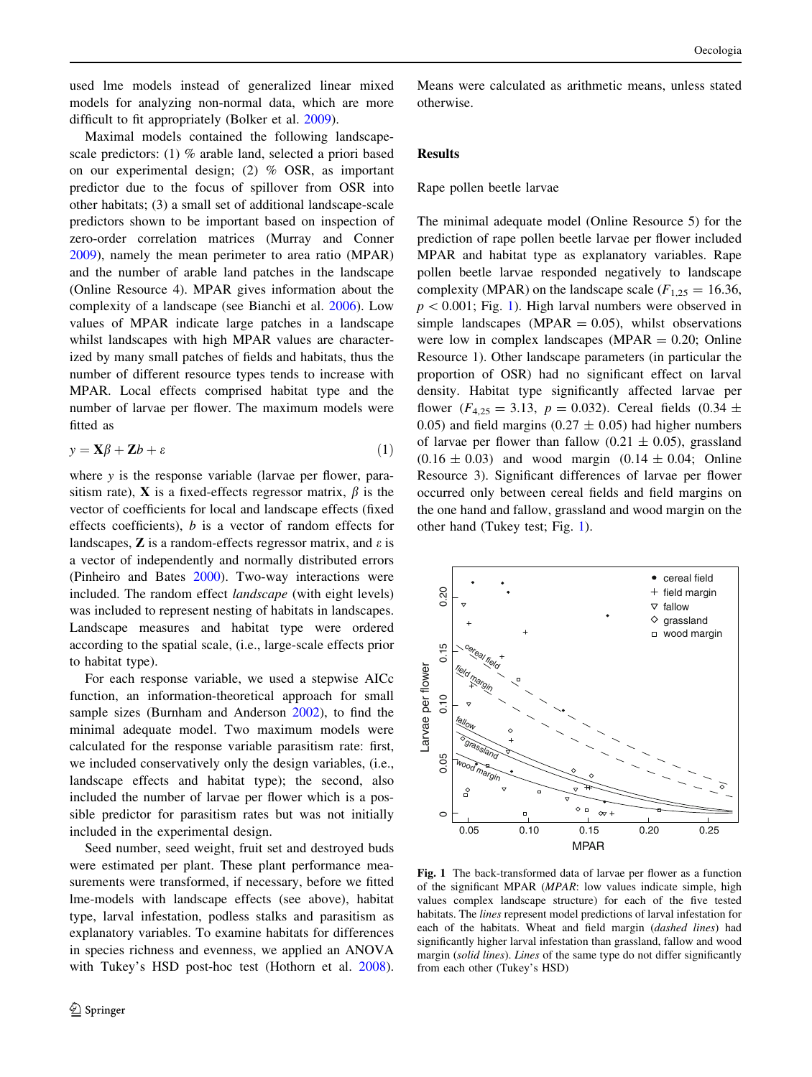used lme models instead of generalized linear mixed models for analyzing non-normal data, which are more difficult to fit appropriately (Bolker et al. [2009](#page-6-0)).

Maximal models contained the following landscapescale predictors: (1) % arable land, selected a priori based on our experimental design; (2) % OSR, as important predictor due to the focus of spillover from OSR into other habitats; (3) a small set of additional landscape-scale predictors shown to be important based on inspection of zero-order correlation matrices (Murray and Conner [2009\)](#page-7-0), namely the mean perimeter to area ratio (MPAR) and the number of arable land patches in the landscape (Online Resource 4). MPAR gives information about the complexity of a landscape (see Bianchi et al. [2006](#page-6-0)). Low values of MPAR indicate large patches in a landscape whilst landscapes with high MPAR values are characterized by many small patches of fields and habitats, thus the number of different resource types tends to increase with MPAR. Local effects comprised habitat type and the number of larvae per flower. The maximum models were fitted as

$$
y = \mathbf{X}\beta + \mathbf{Z}b + \varepsilon \tag{1}
$$

where y is the response variable (larvae per flower, parasitism rate), **X** is a fixed-effects regressor matrix,  $\beta$  is the vector of coefficients for local and landscape effects (fixed effects coefficients), b is a vector of random effects for landscapes,  $\bf{Z}$  is a random-effects regressor matrix, and  $\varepsilon$  is a vector of independently and normally distributed errors (Pinheiro and Bates [2000\)](#page-7-0). Two-way interactions were included. The random effect landscape (with eight levels) was included to represent nesting of habitats in landscapes. Landscape measures and habitat type were ordered according to the spatial scale, (i.e., large-scale effects prior to habitat type).

For each response variable, we used a stepwise AICc function, an information-theoretical approach for small sample sizes (Burnham and Anderson [2002\)](#page-6-0), to find the minimal adequate model. Two maximum models were calculated for the response variable parasitism rate: first, we included conservatively only the design variables, (i.e., landscape effects and habitat type); the second, also included the number of larvae per flower which is a possible predictor for parasitism rates but was not initially included in the experimental design.

Seed number, seed weight, fruit set and destroyed buds were estimated per plant. These plant performance measurements were transformed, if necessary, before we fitted lme-models with landscape effects (see above), habitat type, larval infestation, podless stalks and parasitism as explanatory variables. To examine habitats for differences in species richness and evenness, we applied an ANOVA with Tukey's HSD post-hoc test (Hothorn et al. [2008](#page-7-0)). Means were calculated as arithmetic means, unless stated otherwise.

# Results

#### Rape pollen beetle larvae

The minimal adequate model (Online Resource 5) for the prediction of rape pollen beetle larvae per flower included MPAR and habitat type as explanatory variables. Rape pollen beetle larvae responded negatively to landscape complexity (MPAR) on the landscape scale ( $F_{1,25} = 16.36$ ,  $p < 0.001$ ; Fig. 1). High larval numbers were observed in simple landscapes (MPAR  $= 0.05$ ), whilst observations were low in complex landscapes ( $MPAR = 0.20$ ; Online Resource 1). Other landscape parameters (in particular the proportion of OSR) had no significant effect on larval density. Habitat type significantly affected larvae per flower ( $F_{4,25} = 3.13$ ,  $p = 0.032$ ). Cereal fields (0.34  $\pm$ 0.05) and field margins (0.27  $\pm$  0.05) had higher numbers of larvae per flower than fallow (0.21  $\pm$  0.05), grassland  $(0.16 \pm 0.03)$  and wood margin  $(0.14 \pm 0.04;$  Online Resource 3). Significant differences of larvae per flower occurred only between cereal fields and field margins on the one hand and fallow, grassland and wood margin on the other hand (Tukey test; Fig. 1).



Fig. 1 The back-transformed data of larvae per flower as a function of the significant MPAR (MPAR: low values indicate simple, high values complex landscape structure) for each of the five tested habitats. The lines represent model predictions of larval infestation for each of the habitats. Wheat and field margin (dashed lines) had significantly higher larval infestation than grassland, fallow and wood margin (solid lines). Lines of the same type do not differ significantly from each other (Tukey's HSD)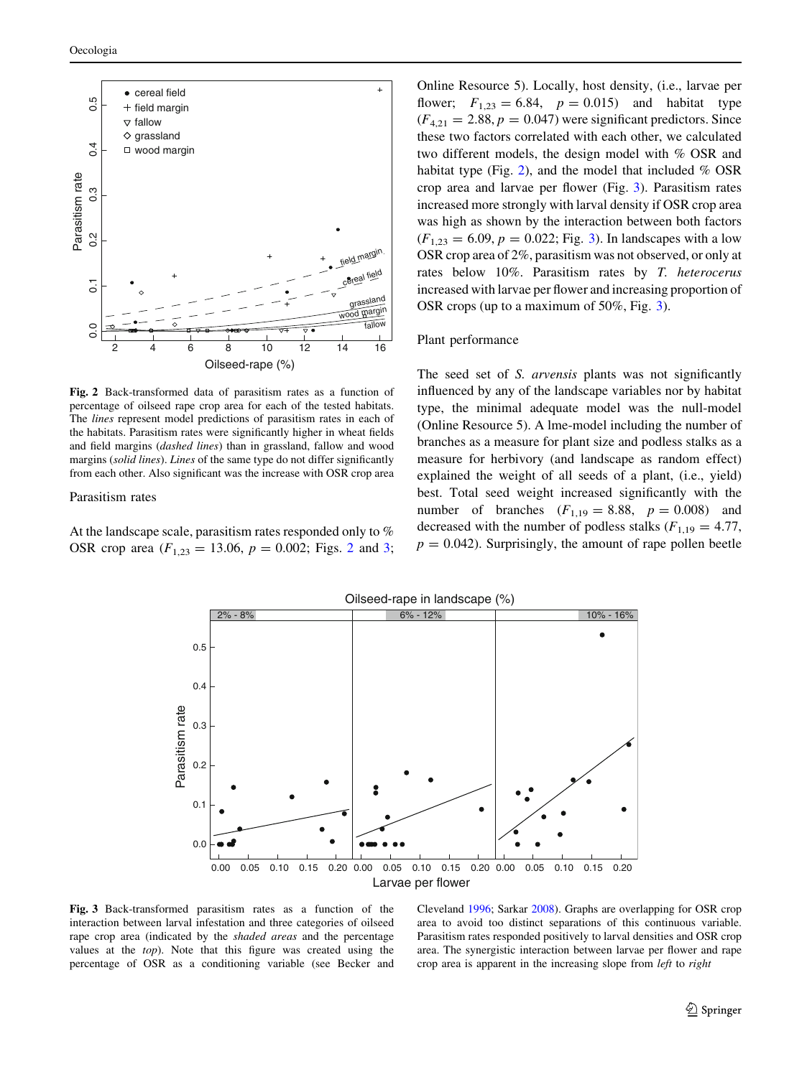<span id="page-4-0"></span>

Fig. 2 Back-transformed data of parasitism rates as a function of percentage of oilseed rape crop area for each of the tested habitats. The lines represent model predictions of parasitism rates in each of the habitats. Parasitism rates were significantly higher in wheat fields and field margins (dashed lines) than in grassland, fallow and wood margins (solid lines). Lines of the same type do not differ significantly from each other. Also significant was the increase with OSR crop area

#### Parasitism rates

At the landscape scale, parasitism rates responded only to % OSR crop area ( $F_{1,23} = 13.06$ ,  $p = 0.002$ ; Figs. 2 and 3; Online Resource 5). Locally, host density, (i.e., larvae per flower;  $F_{1,23} = 6.84$ ,  $p = 0.015$ ) and habitat type  $(F_{4,21} = 2.88, p = 0.047)$  were significant predictors. Since these two factors correlated with each other, we calculated two different models, the design model with % OSR and habitat type (Fig. 2), and the model that included  $%$  OSR crop area and larvae per flower (Fig. 3). Parasitism rates increased more strongly with larval density if OSR crop area was high as shown by the interaction between both factors  $(F_{1,23} = 6.09, p = 0.022; Fig. 3)$ . In landscapes with a low OSR crop area of 2%, parasitism was not observed, or only at rates below 10%. Parasitism rates by T. heterocerus increased with larvae per flower and increasing proportion of OSR crops (up to a maximum of 50%, Fig. 3).

## Plant performance

The seed set of S. *arvensis* plants was not significantly influenced by any of the landscape variables nor by habitat type, the minimal adequate model was the null-model (Online Resource 5). A lme-model including the number of branches as a measure for plant size and podless stalks as a measure for herbivory (and landscape as random effect) explained the weight of all seeds of a plant, (i.e., yield) best. Total seed weight increased significantly with the number of branches  $(F_{1,19} = 8.88, p = 0.008)$  and decreased with the number of podless stalks ( $F_{1,19} = 4.77$ ,  $p = 0.042$ . Surprisingly, the amount of rape pollen beetle



Fig. 3 Back-transformed parasitism rates as a function of the interaction between larval infestation and three categories of oilseed rape crop area (indicated by the shaded areas and the percentage values at the top). Note that this figure was created using the percentage of OSR as a conditioning variable (see Becker and

Cleveland [1996](#page-6-0); Sarkar [2008\)](#page-7-0). Graphs are overlapping for OSR crop area to avoid too distinct separations of this continuous variable. Parasitism rates responded positively to larval densities and OSR crop area. The synergistic interaction between larvae per flower and rape crop area is apparent in the increasing slope from left to right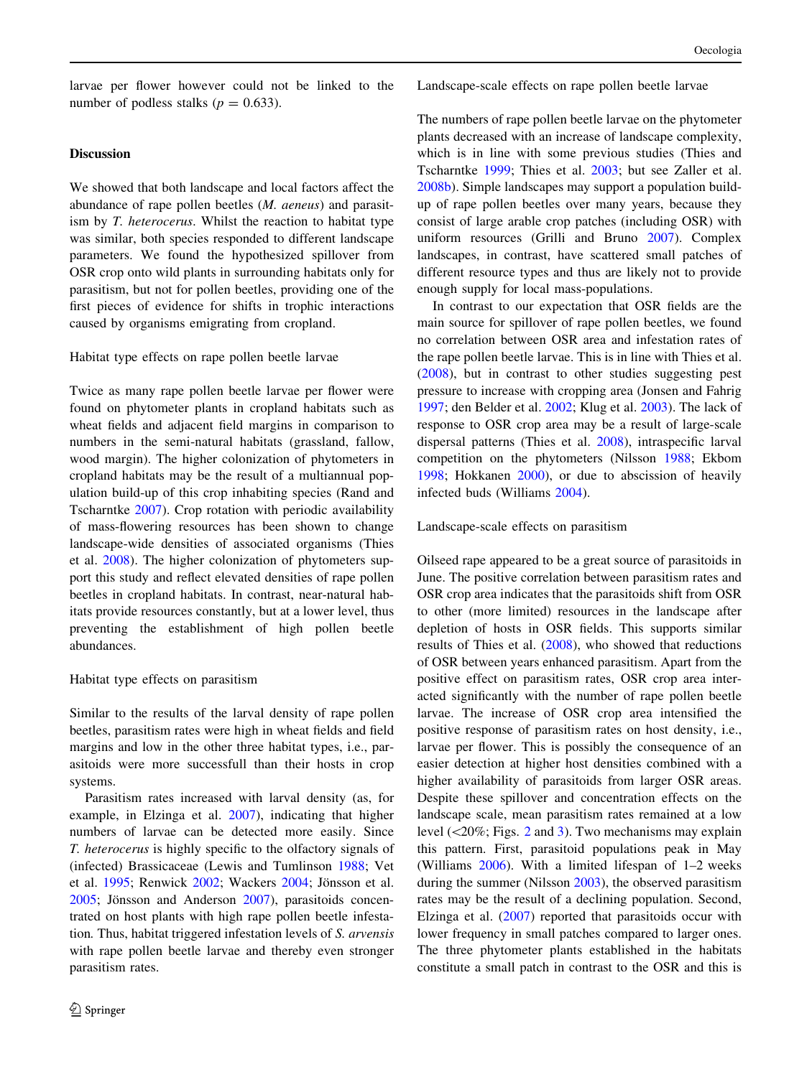larvae per flower however could not be linked to the number of podless stalks ( $p = 0.633$ ).

# **Discussion**

We showed that both landscape and local factors affect the abundance of rape pollen beetles (M. aeneus) and parasitism by T. heterocerus. Whilst the reaction to habitat type was similar, both species responded to different landscape parameters. We found the hypothesized spillover from OSR crop onto wild plants in surrounding habitats only for parasitism, but not for pollen beetles, providing one of the first pieces of evidence for shifts in trophic interactions caused by organisms emigrating from cropland.

Habitat type effects on rape pollen beetle larvae

Twice as many rape pollen beetle larvae per flower were found on phytometer plants in cropland habitats such as wheat fields and adjacent field margins in comparison to numbers in the semi-natural habitats (grassland, fallow, wood margin). The higher colonization of phytometers in cropland habitats may be the result of a multiannual population build-up of this crop inhabiting species (Rand and Tscharntke [2007\)](#page-7-0). Crop rotation with periodic availability of mass-flowering resources has been shown to change landscape-wide densities of associated organisms (Thies et al. [2008](#page-7-0)). The higher colonization of phytometers support this study and reflect elevated densities of rape pollen beetles in cropland habitats. In contrast, near-natural habitats provide resources constantly, but at a lower level, thus preventing the establishment of high pollen beetle abundances.

## Habitat type effects on parasitism

Similar to the results of the larval density of rape pollen beetles, parasitism rates were high in wheat fields and field margins and low in the other three habitat types, i.e., parasitoids were more successfull than their hosts in crop systems.

Parasitism rates increased with larval density (as, for example, in Elzinga et al. [2007\)](#page-7-0), indicating that higher numbers of larvae can be detected more easily. Since T. heterocerus is highly specific to the olfactory signals of (infected) Brassicaceae (Lewis and Tumlinson [1988;](#page-7-0) Vet et al. [1995;](#page-8-0) Renwick [2002](#page-7-0); Wackers [2004;](#page-8-0) Jönsson et al.  $2005$ ; Jönsson and Anderson  $2007$ ), parasitoids concentrated on host plants with high rape pollen beetle infestation. Thus, habitat triggered infestation levels of S. arvensis with rape pollen beetle larvae and thereby even stronger parasitism rates.

Landscape-scale effects on rape pollen beetle larvae

The numbers of rape pollen beetle larvae on the phytometer plants decreased with an increase of landscape complexity, which is in line with some previous studies (Thies and Tscharntke [1999;](#page-7-0) Thies et al. [2003;](#page-7-0) but see Zaller et al. [2008b](#page-8-0)). Simple landscapes may support a population buildup of rape pollen beetles over many years, because they consist of large arable crop patches (including OSR) with uniform resources (Grilli and Bruno [2007\)](#page-7-0). Complex landscapes, in contrast, have scattered small patches of different resource types and thus are likely not to provide enough supply for local mass-populations.

In contrast to our expectation that OSR fields are the main source for spillover of rape pollen beetles, we found no correlation between OSR area and infestation rates of the rape pollen beetle larvae. This is in line with Thies et al. [\(2008](#page-7-0)), but in contrast to other studies suggesting pest pressure to increase with cropping area (Jonsen and Fahrig [1997](#page-7-0); den Belder et al. [2002;](#page-6-0) Klug et al. [2003](#page-7-0)). The lack of response to OSR crop area may be a result of large-scale dispersal patterns (Thies et al. [2008\)](#page-7-0), intraspecific larval competition on the phytometers (Nilsson [1988](#page-7-0); Ekbom [1998](#page-6-0); Hokkanen [2000\)](#page-7-0), or due to abscission of heavily infected buds (Williams [2004](#page-8-0)).

## Landscape-scale effects on parasitism

Oilseed rape appeared to be a great source of parasitoids in June. The positive correlation between parasitism rates and OSR crop area indicates that the parasitoids shift from OSR to other (more limited) resources in the landscape after depletion of hosts in OSR fields. This supports similar results of Thies et al. [\(2008](#page-7-0)), who showed that reductions of OSR between years enhanced parasitism. Apart from the positive effect on parasitism rates, OSR crop area interacted significantly with the number of rape pollen beetle larvae. The increase of OSR crop area intensified the positive response of parasitism rates on host density, i.e., larvae per flower. This is possibly the consequence of an easier detection at higher host densities combined with a higher availability of parasitoids from larger OSR areas. Despite these spillover and concentration effects on the landscape scale, mean parasitism rates remained at a low level  $(\leq 20\%;$  $(\leq 20\%;$  $(\leq 20\%;$  Figs. 2 and [3](#page-4-0)). Two mechanisms may explain this pattern. First, parasitoid populations peak in May (Williams  $2006$ ). With a limited lifespan of  $1-2$  weeks during the summer (Nilsson [2003](#page-7-0)), the observed parasitism rates may be the result of a declining population. Second, Elzinga et al. [\(2007](#page-7-0)) reported that parasitoids occur with lower frequency in small patches compared to larger ones. The three phytometer plants established in the habitats constitute a small patch in contrast to the OSR and this is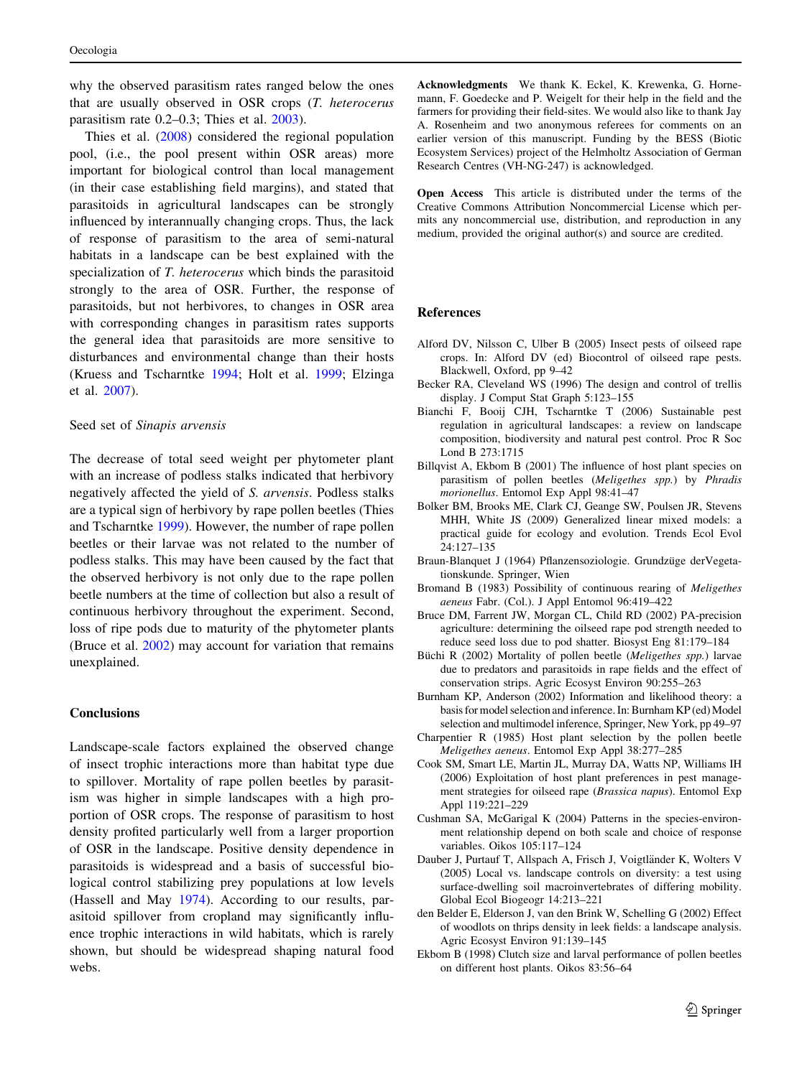<span id="page-6-0"></span>why the observed parasitism rates ranged below the ones that are usually observed in OSR crops (T. heterocerus parasitism rate 0.2–0.3; Thies et al. [2003](#page-7-0)).

Thies et al. ([2008\)](#page-7-0) considered the regional population pool, (i.e., the pool present within OSR areas) more important for biological control than local management (in their case establishing field margins), and stated that parasitoids in agricultural landscapes can be strongly influenced by interannually changing crops. Thus, the lack of response of parasitism to the area of semi-natural habitats in a landscape can be best explained with the specialization of T. heterocerus which binds the parasitoid strongly to the area of OSR. Further, the response of parasitoids, but not herbivores, to changes in OSR area with corresponding changes in parasitism rates supports the general idea that parasitoids are more sensitive to disturbances and environmental change than their hosts (Kruess and Tscharntke [1994;](#page-7-0) Holt et al. [1999](#page-7-0); Elzinga et al. [2007](#page-7-0)).

## Seed set of Sinapis arvensis

The decrease of total seed weight per phytometer plant with an increase of podless stalks indicated that herbivory negatively affected the yield of S. arvensis. Podless stalks are a typical sign of herbivory by rape pollen beetles (Thies and Tscharntke [1999](#page-7-0)). However, the number of rape pollen beetles or their larvae was not related to the number of podless stalks. This may have been caused by the fact that the observed herbivory is not only due to the rape pollen beetle numbers at the time of collection but also a result of continuous herbivory throughout the experiment. Second, loss of ripe pods due to maturity of the phytometer plants (Bruce et al. 2002) may account for variation that remains unexplained.

## **Conclusions**

Landscape-scale factors explained the observed change of insect trophic interactions more than habitat type due to spillover. Mortality of rape pollen beetles by parasitism was higher in simple landscapes with a high proportion of OSR crops. The response of parasitism to host density profited particularly well from a larger proportion of OSR in the landscape. Positive density dependence in parasitoids is widespread and a basis of successful biological control stabilizing prey populations at low levels (Hassell and May [1974](#page-7-0)). According to our results, parasitoid spillover from cropland may significantly influence trophic interactions in wild habitats, which is rarely shown, but should be widespread shaping natural food webs.

Acknowledgments We thank K. Eckel, K. Krewenka, G. Hornemann, F. Goedecke and P. Weigelt for their help in the field and the farmers for providing their field-sites. We would also like to thank Jay A. Rosenheim and two anonymous referees for comments on an earlier version of this manuscript. Funding by the BESS (Biotic Ecosystem Services) project of the Helmholtz Association of German Research Centres (VH-NG-247) is acknowledged.

Open Access This article is distributed under the terms of the Creative Commons Attribution Noncommercial License which permits any noncommercial use, distribution, and reproduction in any medium, provided the original author(s) and source are credited.

# References

- Alford DV, Nilsson C, Ulber B (2005) Insect pests of oilseed rape crops. In: Alford DV (ed) Biocontrol of oilseed rape pests. Blackwell, Oxford, pp 9–42
- Becker RA, Cleveland WS (1996) The design and control of trellis display. J Comput Stat Graph 5:123–155
- Bianchi F, Booij CJH, Tscharntke T (2006) Sustainable pest regulation in agricultural landscapes: a review on landscape composition, biodiversity and natural pest control. Proc R Soc Lond B 273:1715
- Billqvist A, Ekbom B (2001) The influence of host plant species on parasitism of pollen beetles (Meligethes spp.) by Phradis morionellus. Entomol Exp Appl 98:41–47
- Bolker BM, Brooks ME, Clark CJ, Geange SW, Poulsen JR, Stevens MHH, White JS (2009) Generalized linear mixed models: a practical guide for ecology and evolution. Trends Ecol Evol 24:127–135
- Braun-Blanquet J (1964) Pflanzensoziologie. Grundzüge derVegetationskunde. Springer, Wien
- Bromand B (1983) Possibility of continuous rearing of Meligethes aeneus Fabr. (Col.). J Appl Entomol 96:419–422
- Bruce DM, Farrent JW, Morgan CL, Child RD (2002) PA-precision agriculture: determining the oilseed rape pod strength needed to reduce seed loss due to pod shatter. Biosyst Eng 81:179–184
- Büchi R (2002) Mortality of pollen beetle (Meligethes spp.) larvae due to predators and parasitoids in rape fields and the effect of conservation strips. Agric Ecosyst Environ 90:255–263
- Burnham KP, Anderson (2002) Information and likelihood theory: a basis for model selection and inference. In: Burnham KP (ed) Model selection and multimodel inference, Springer, New York, pp 49–97
- Charpentier R (1985) Host plant selection by the pollen beetle Meligethes aeneus. Entomol Exp Appl 38:277–285
- Cook SM, Smart LE, Martin JL, Murray DA, Watts NP, Williams IH (2006) Exploitation of host plant preferences in pest management strategies for oilseed rape (Brassica napus). Entomol Exp Appl 119:221–229
- Cushman SA, McGarigal K (2004) Patterns in the species-environment relationship depend on both scale and choice of response variables. Oikos 105:117–124
- Dauber J, Purtauf T, Allspach A, Frisch J, Voigtländer K, Wolters V (2005) Local vs. landscape controls on diversity: a test using surface-dwelling soil macroinvertebrates of differing mobility. Global Ecol Biogeogr 14:213–221
- den Belder E, Elderson J, van den Brink W, Schelling G (2002) Effect of woodlots on thrips density in leek fields: a landscape analysis. Agric Ecosyst Environ 91:139–145
- Ekbom B (1998) Clutch size and larval performance of pollen beetles on different host plants. Oikos 83:56–64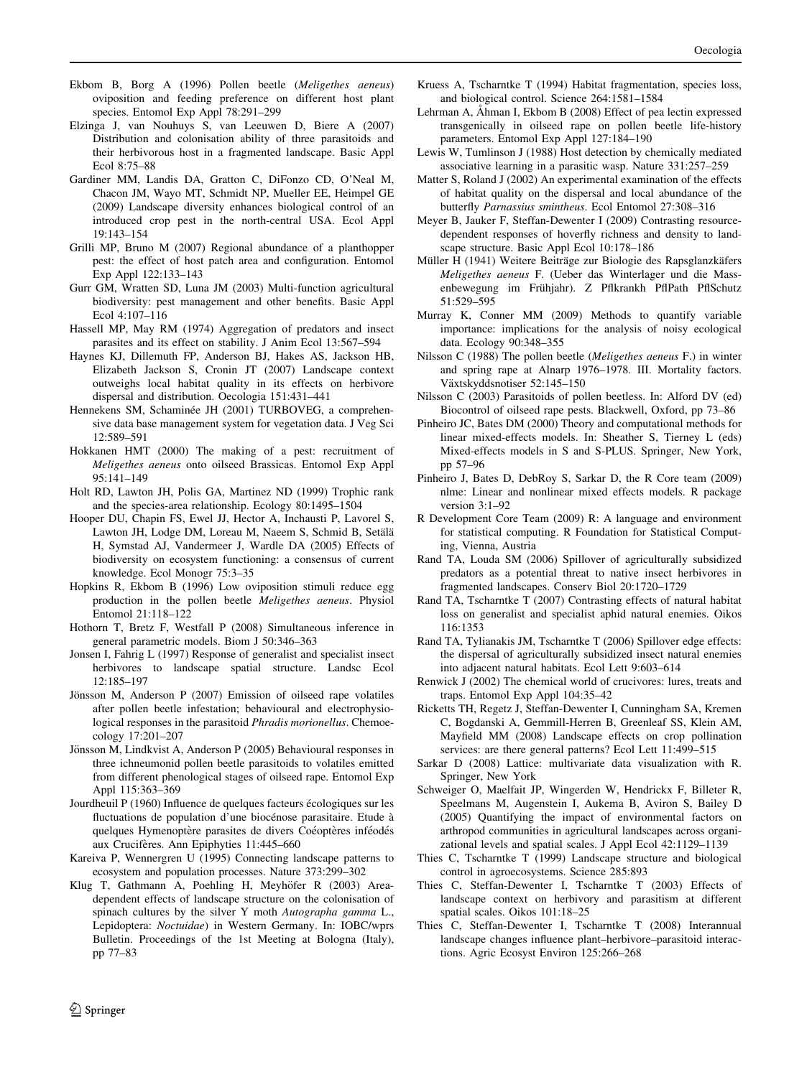- <span id="page-7-0"></span>Ekbom B, Borg A (1996) Pollen beetle (Meligethes aeneus) oviposition and feeding preference on different host plant species. Entomol Exp Appl 78:291–299
- Elzinga J, van Nouhuys S, van Leeuwen D, Biere A (2007) Distribution and colonisation ability of three parasitoids and their herbivorous host in a fragmented landscape. Basic Appl Ecol 8:75–88
- Gardiner MM, Landis DA, Gratton C, DiFonzo CD, O'Neal M, Chacon JM, Wayo MT, Schmidt NP, Mueller EE, Heimpel GE (2009) Landscape diversity enhances biological control of an introduced crop pest in the north-central USA. Ecol Appl 19:143–154
- Grilli MP, Bruno M (2007) Regional abundance of a planthopper pest: the effect of host patch area and configuration. Entomol Exp Appl 122:133–143
- Gurr GM, Wratten SD, Luna JM (2003) Multi-function agricultural biodiversity: pest management and other benefits. Basic Appl Ecol 4:107–116
- Hassell MP, May RM (1974) Aggregation of predators and insect parasites and its effect on stability. J Anim Ecol 13:567–594
- Haynes KJ, Dillemuth FP, Anderson BJ, Hakes AS, Jackson HB, Elizabeth Jackson S, Cronin JT (2007) Landscape context outweighs local habitat quality in its effects on herbivore dispersal and distribution. Oecologia 151:431–441
- Hennekens SM, Schaminée JH (2001) TURBOVEG, a comprehensive data base management system for vegetation data. J Veg Sci 12:589–591
- Hokkanen HMT (2000) The making of a pest: recruitment of Meligethes aeneus onto oilseed Brassicas. Entomol Exp Appl 95:141–149
- Holt RD, Lawton JH, Polis GA, Martinez ND (1999) Trophic rank and the species-area relationship. Ecology 80:1495–1504
- Hooper DU, Chapin FS, Ewel JJ, Hector A, Inchausti P, Lavorel S, Lawton JH, Lodge DM, Loreau M, Naeem S, Schmid B, Setälä H, Symstad AJ, Vandermeer J, Wardle DA (2005) Effects of biodiversity on ecosystem functioning: a consensus of current knowledge. Ecol Monogr 75:3–35
- Hopkins R, Ekbom B (1996) Low oviposition stimuli reduce egg production in the pollen beetle Meligethes aeneus. Physiol Entomol 21:118–122
- Hothorn T, Bretz F, Westfall P (2008) Simultaneous inference in general parametric models. Biom J 50:346–363
- Jonsen I, Fahrig L (1997) Response of generalist and specialist insect herbivores to landscape spatial structure. Landsc Ecol 12:185–197
- Jönsson M, Anderson P (2007) Emission of oilseed rape volatiles after pollen beetle infestation; behavioural and electrophysiological responses in the parasitoid Phradis morionellus. Chemoecology 17:201–207
- Jönsson M, Lindkvist A, Anderson P (2005) Behavioural responses in three ichneumonid pollen beetle parasitoids to volatiles emitted from different phenological stages of oilseed rape. Entomol Exp Appl 115:363–369
- Jourdheuil P (1960) Influence de quelques facteurs écologiques sur les fluctuations de population d'une biocénose parasitaire. Etude à quelques Hymenoptère parasites de divers Coéoptères inféodés aux Crucifères. Ann Epiphyties 11:445-660
- Kareiva P, Wennergren U (1995) Connecting landscape patterns to ecosystem and population processes. Nature 373:299–302
- Klug T, Gathmann A, Poehling H, Meyhöfer R (2003) Areadependent effects of landscape structure on the colonisation of spinach cultures by the silver Y moth Autographa gamma L., Lepidoptera: Noctuidae) in Western Germany. In: IOBC/wprs Bulletin. Proceedings of the 1st Meeting at Bologna (Italy), pp 77–83
- Kruess A, Tscharntke T (1994) Habitat fragmentation, species loss, and biological control. Science 264:1581–1584
- Lehrman A, Åhman I, Ekbom B (2008) Effect of pea lectin expressed transgenically in oilseed rape on pollen beetle life-history parameters. Entomol Exp Appl 127:184–190
- Lewis W, Tumlinson J (1988) Host detection by chemically mediated associative learning in a parasitic wasp. Nature 331:257–259
- Matter S, Roland J (2002) An experimental examination of the effects of habitat quality on the dispersal and local abundance of the butterfly Parnassius smintheus. Ecol Entomol 27:308–316
- Meyer B, Jauker F, Steffan-Dewenter I (2009) Contrasting resourcedependent responses of hoverfly richness and density to landscape structure. Basic Appl Ecol 10:178–186
- Müller H (1941) Weitere Beiträge zur Biologie des Rapsglanzkäfers Meligethes aeneus F. (Ueber das Winterlager und die Massenbewegung im Frühjahr). Z Pflkrankh PflPath PflSchutz 51:529–595
- Murray K, Conner MM (2009) Methods to quantify variable importance: implications for the analysis of noisy ecological data. Ecology 90:348–355
- Nilsson C (1988) The pollen beetle (Meligethes aeneus F.) in winter and spring rape at Alnarp 1976–1978. III. Mortality factors. Växtskyddsnotiser 52:145-150
- Nilsson C (2003) Parasitoids of pollen beetless. In: Alford DV (ed) Biocontrol of oilseed rape pests. Blackwell, Oxford, pp 73–86
- Pinheiro JC, Bates DM (2000) Theory and computational methods for linear mixed-effects models. In: Sheather S, Tierney L (eds) Mixed-effects models in S and S-PLUS. Springer, New York, pp 57–96
- Pinheiro J, Bates D, DebRoy S, Sarkar D, the R Core team (2009) nlme: Linear and nonlinear mixed effects models. R package version 3:1–92
- R Development Core Team (2009) R: A language and environment for statistical computing. R Foundation for Statistical Computing, Vienna, Austria
- Rand TA, Louda SM (2006) Spillover of agriculturally subsidized predators as a potential threat to native insect herbivores in fragmented landscapes. Conserv Biol 20:1720–1729
- Rand TA, Tscharntke T (2007) Contrasting effects of natural habitat loss on generalist and specialist aphid natural enemies. Oikos 116:1353
- Rand TA, Tylianakis JM, Tscharntke T (2006) Spillover edge effects: the dispersal of agriculturally subsidized insect natural enemies into adjacent natural habitats. Ecol Lett 9:603–614
- Renwick J (2002) The chemical world of crucivores: lures, treats and traps. Entomol Exp Appl 104:35–42
- Ricketts TH, Regetz J, Steffan-Dewenter I, Cunningham SA, Kremen C, Bogdanski A, Gemmill-Herren B, Greenleaf SS, Klein AM, Mayfield MM (2008) Landscape effects on crop pollination services: are there general patterns? Ecol Lett 11:499–515
- Sarkar D (2008) Lattice: multivariate data visualization with R. Springer, New York
- Schweiger O, Maelfait JP, Wingerden W, Hendrickx F, Billeter R, Speelmans M, Augenstein I, Aukema B, Aviron S, Bailey D (2005) Quantifying the impact of environmental factors on arthropod communities in agricultural landscapes across organizational levels and spatial scales. J Appl Ecol 42:1129–1139
- Thies C, Tscharntke T (1999) Landscape structure and biological control in agroecosystems. Science 285:893
- Thies C, Steffan-Dewenter I, Tscharntke T (2003) Effects of landscape context on herbivory and parasitism at different spatial scales. Oikos 101:18–25
- Thies C, Steffan-Dewenter I, Tscharntke T (2008) Interannual landscape changes influence plant–herbivore–parasitoid interactions. Agric Ecosyst Environ 125:266–268